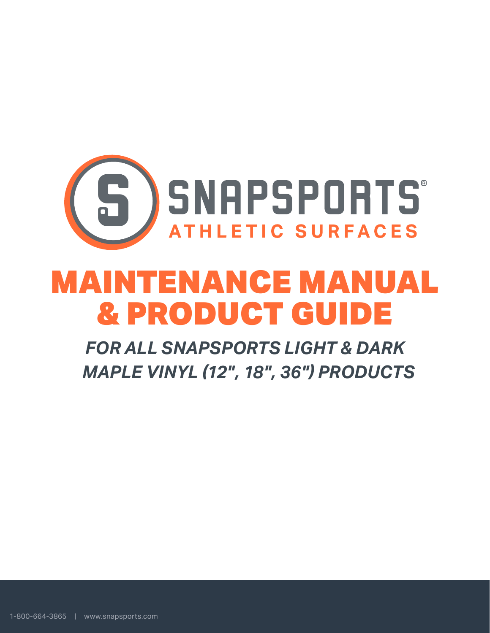

# MAINTENANCE MANUAL & PRODUCT GUIDE

*FOR ALL SNAPSPORTS LIGHT & DARK MAPLE VINYL (12", 18", 36") PRODUCTS*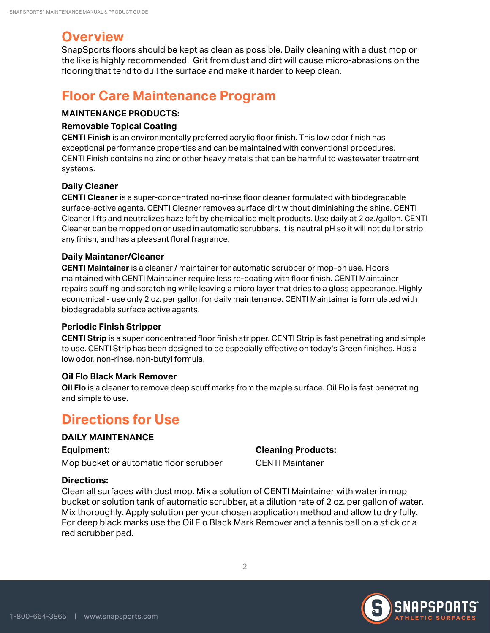# **Overview**

SnapSports floors should be kept as clean as possible. Daily cleaning with a dust mop or the like is highly recommended. Grit from dust and dirt will cause micro-abrasions on the flooring that tend to dull the surface and make it harder to keep clean.

# **Floor Care Maintenance Program**

#### **MAINTENANCE PRODUCTS:**

#### **Removable Topical Coating**

**CENTI Finish** is an environmentally preferred acrylic floor finish. This low odor finish has exceptional performance properties and can be maintained with conventional procedures. CENTI Finish contains no zinc or other heavy metals that can be harmful to wastewater treatment systems.

#### **Daily Cleaner**

**CENTI Cleaner** is a super-concentrated no-rinse floor cleaner formulated with biodegradable surface-active agents. CENTI Cleaner removes surface dirt without diminishing the shine. CENTI Cleaner lifts and neutralizes haze left by chemical ice melt products. Use daily at 2 oz./gallon. CENTI Cleaner can be mopped on or used in automatic scrubbers. It is neutral pH so it will not dull or strip any finish, and has a pleasant floral fragrance.

#### **Daily Maintaner/Cleaner**

**CENTI Maintainer** is a cleaner / maintainer for automatic scrubber or mop-on use. Floors maintained with CENTI Maintainer require less re-coating with floor finish. CENTI Maintainer repairs scuffing and scratching while leaving a micro layer that dries to a gloss appearance. Highly economical - use only 2 oz. per gallon for daily maintenance. CENTI Maintainer is formulated with biodegradable surface active agents.

#### **Periodic Finish Stripper**

**CENTI Strip** is a super concentrated floor finish stripper. CENTI Strip is fast penetrating and simple to use. CENTI Strip has been designed to be especially effective on today's Green finishes. Has a low odor, non-rinse, non-butyl formula.

#### **Oil Flo Black Mark Remover**

**Oil Flo** is a cleaner to remove deep scuff marks from the maple surface. Oil Flo is fast penetrating and simple to use.

# **Directions for Use**

#### **DAILY MAINTENANCE**

**Equipment:**  Mop bucket or automatic floor scrubber **Cleaning Products:**  CENTI Maintaner

#### **Directions:**

Clean all surfaces with dust mop. Mix a solution of CENTI Maintainer with water in mop bucket or solution tank of automatic scrubber, at a dilution rate of 2 oz. per gallon of water. Mix thoroughly. Apply solution per your chosen application method and allow to dry fully. For deep black marks use the Oil Flo Black Mark Remover and a tennis ball on a stick or a red scrubber pad.

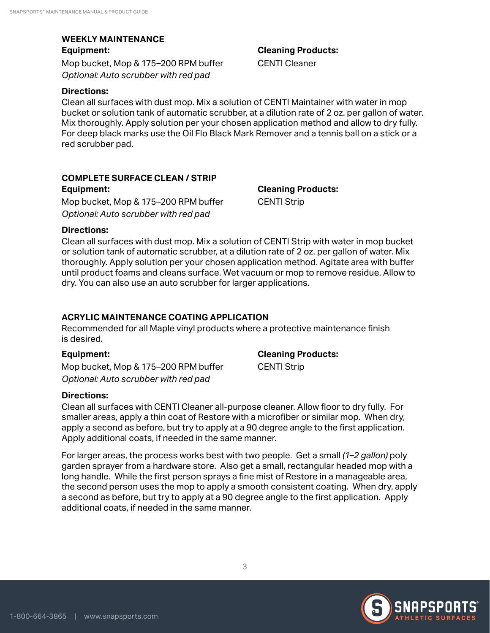#### **WEEKLY MAINTENANCE Equipment:**

Mop bucket, Mop & 175–200 RPM buffer *Optional: Auto scrubber with red pad*

#### **Directions:**

Clean all surfaces with dust mop. Mix a solution of CENTI Maintainer with water in mop bucket or solution tank of automatic scrubber, at a dilution rate of 2 oz. per gallon of water. Mix thoroughly. Apply solution per your chosen application method and allow to dry fully. For deep black marks use the Oil Flo Black Mark Remover and a tennis ball on a stick or a red scrubber pad.

## **COMPLETE SURFACE CLEAN / STRIP**

**Equipment:**  Mop bucket, Mop & 175–200 RPM buffer *Optional: Auto scrubber with red pad*

**Cleaning Products:**  CENTI Strip

**Cleaning Products:** 

CENTI Cleaner

#### **Directions:**

Clean all surfaces with dust mop. Mix a solution of CENTI Strip with water in mop bucket or solution tank of automatic scrubber, at a dilution rate of 2 oz. per gallon of water. Mix thoroughly. Apply solution per your chosen application method. Agitate area with buffer until product foams and cleans surface. Wet vacuum or mop to remove residue. Allow to dry. You can also use an auto scrubber for larger applications.

### **ACRYLIC MAINTENANCE COATING APPLICATION**

Recommended for all Maple vinyl products where a protective maintenance finish is desired.

#### **Equipment:**

Mop bucket, Mop & 175–200 RPM buffer *Optional: Auto scrubber with red pad*

**Cleaning Products:**  CENTI Strip

#### **Directions:**

Clean all surfaces with CENTI Cleaner all-purpose cleaner. Allow floor to dry fully. For smaller areas, apply a thin coat of Restore with a microfiber or similar mop. When dry, apply a second as before, but try to apply at a 90 degree angle to the first application. Apply additional coats, if needed in the same manner.

For larger areas, the process works best with two people. Get a small *(1–2 gallon)* poly garden sprayer from a hardware store. Also get a small, rectangular headed mop with a long handle. While the first person sprays a fine mist of Restore in a manageable area, the second person uses the mop to apply a smooth consistent coating. When dry, apply a second as before, but try to apply at a 90 degree angle to the first application. Apply additional coats, if needed in the same manner.